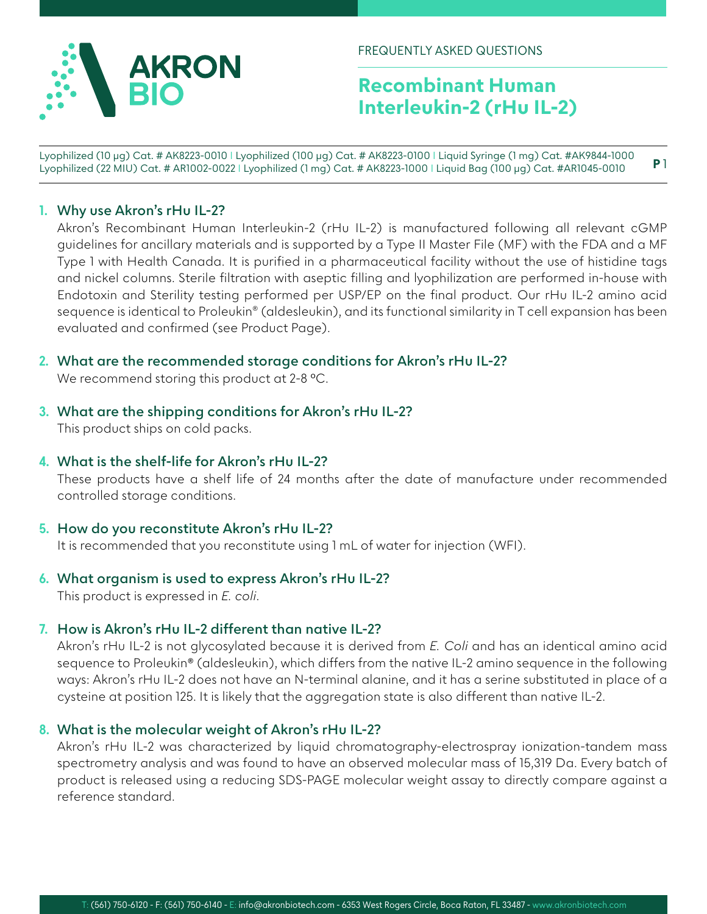

FREQUENTLY ASKED QUESTIONS

# **Recombinant Human Interleukin-2 (rHu IL-2)**

Lyophilized (10 µg) Cat. # AK8223-0010 I Lyophilized (100 µg) Cat. # AK8223-0100 I Liquid Syringe (1 mg) Cat. #AK9844-1000 Lyophilized (22 MIU) Cat. # AR1002-0022 I Lyophilized (1 mg) Cat. # AK8223-1000 I Liquid Bag (100 μg) Cat. #AR1045-0010 **P** 1

#### **1. Why use Akron's rHu IL-2?**

Akron's Recombinant Human Interleukin-2 (rHu IL-2) is manufactured following all relevant cGMP guidelines for ancillary materials and is supported by a Type II Master File (MF) with the FDA and a MF Type 1 with Health Canada. It is purified in a pharmaceutical facility without the use of histidine tags and nickel columns. Sterile filtration with aseptic filling and lyophilization are performed in-house with Endotoxin and Sterility testing performed per USP/EP on the final product. Our rHu IL-2 amino acid sequence is identical to Proleukin® (aldesleukin), and its functional similarity in T cell expansion has been evaluated and confirmed (see Product Page).

**2. What are the recommended storage conditions for Akron's rHu IL-2?**

We recommend storing this product at 2-8 °C.

- **3. What are the shipping conditions for Akron's rHu IL-2?** This product ships on cold packs.
- **4. What is the shelf-life for Akron's rHu IL-2?**

These products have a shelf life of 24 months after the date of manufacture under recommended controlled storage conditions.

**5. How do you reconstitute Akron's rHu IL-2?**

It is recommended that you reconstitute using 1 mL of water for injection (WFI).

- **6. What organism is used to express Akron's rHu IL-2?** This product is expressed in *E. coli*.
- **7. How is Akron's rHu IL-2 different than native IL-2?**

Akron's rHu IL-2 is not glycosylated because it is derived from *E. Coli* and has an identical amino acid sequence to Proleukin® (aldesleukin), which differs from the native IL-2 amino sequence in the following ways: Akron's rHu IL-2 does not have an N-terminal alanine, and it has a serine substituted in place of a cysteine at position 125. It is likely that the aggregation state is also different than native IL-2.

### **8. What is the molecular weight of Akron's rHu IL-2?**

Akron's rHu IL-2 was characterized by liquid chromatography-electrospray ionization-tandem mass spectrometry analysis and was found to have an observed molecular mass of 15,319 Da. Every batch of product is released using a reducing SDS-PAGE molecular weight assay to directly compare against a reference standard.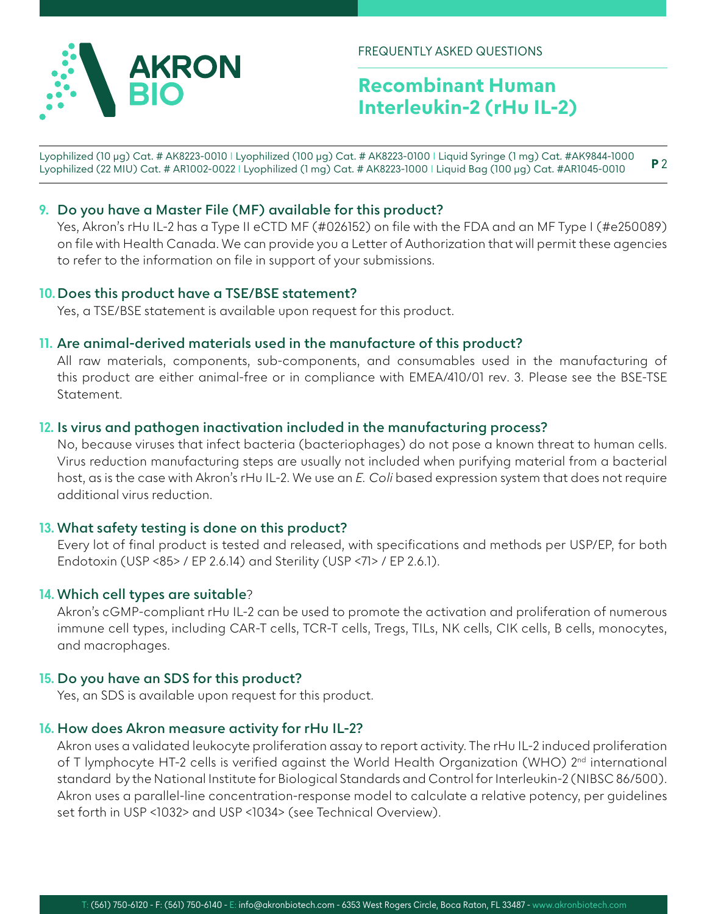

FREQUENTLY ASKED QUESTIONS

# **Recombinant Human Interleukin-2 (rHu IL-2)**

**P** 2 Lyophilized (10 µg) Cat. # AK8223-0010 I Lyophilized (100 µg) Cat. # AK8223-0100 I Liquid Syringe (1 mg) Cat. #AK9844-1000 Lyophilized (22 MIU) Cat. # AR1002-0022 I Lyophilized (1 mg) Cat. # AK8223-1000 I Liquid Bag (100 μg) Cat. #AR1045-0010

## **9. Do you have a Master File (MF) available for this product?**

Yes, Akron's rHu IL-2 has a Type II eCTD MF (#026152) on file with the FDA and an MF Type I (#e250089) on file with Health Canada. We can provide you a Letter of Authorization that will permit these agencies to refer to the information on file in support of your submissions.

#### **10. Does this product have a TSE/BSE statement?**

Yes, a TSE/BSE statement is available upon request for this product.

#### **11. Are animal-derived materials used in the manufacture of this product?**

All raw materials, components, sub-components, and consumables used in the manufacturing of this product are either animal-free or in compliance with EMEA/410/01 rev. 3. Please see the BSE-TSE Statement.

## **12. Is virus and pathogen inactivation included in the manufacturing process?**

No, because viruses that infect bacteria (bacteriophages) do not pose a known threat to human cells. Virus reduction manufacturing steps are usually not included when purifying material from a bacterial host, as is the case with Akron's rHu IL-2. We use an *E. Coli* based expression system that does not require additional virus reduction.

### **13. What safety testing is done on this product?**

Every lot of final product is tested and released, with specifications and methods per USP/EP, for both Endotoxin (USP <85> / EP 2.6.14) and Sterility (USP <71> / EP 2.6.1).

### **14. Which cell types are suitable**?

Akron's cGMP-compliant rHu IL-2 can be used to promote the activation and proliferation of numerous immune cell types, including CAR-T cells, TCR-T cells, Tregs, TILs, NK cells, CIK cells, B cells, monocytes, and macrophages.

### **15. Do you have an SDS for this product?**

Yes, an SDS is available upon request for this product.

### **16. How does Akron measure activity for rHu IL-2?**

Akron uses a validated leukocyte proliferation assay to report activity. The rHu IL-2 induced proliferation of T lymphocyte HT-2 cells is verified against the World Health Organization (WHO) 2<sup>nd</sup> international standard by the National Institute for Biological Standards and Control for Interleukin-2 (NIBSC 86/500). Akron uses a parallel-line concentration-response model to calculate a relative potency, per guidelines set forth in USP <1032> and USP <1034> (see Technical Overview).